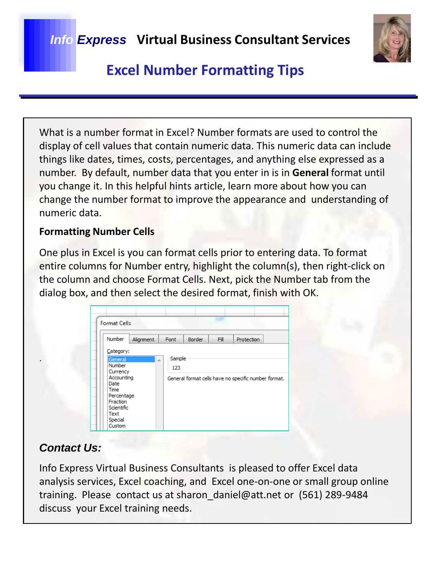

# **Excel Number Formatting Tips**

What is a number format in Excel? Number formats are used to control the display of cell values that contain numeric data. This numeric data can include things like dates, times, costs, percentages, and anything else expressed as a number. By default, number data that you enter in is in **General** format until you change it. In this helpful hints article, learn more about how you can change the number format to improve the appearance and understanding of numeric data.

#### **Formatting Number Cells**

One plus in Excel is you can format cells prior to entering data. To format entire columns for Number entry, highlight the column(s), then right-click on the column and choose Format Cells. Next, pick the Number tab from the dialog box, and then select the desired format, finish with OK.

| <b>Format Cells</b><br>Number                                                                                                       | Alignment | Font                | Border | Fill | <b>Protection</b>                                    |
|-------------------------------------------------------------------------------------------------------------------------------------|-----------|---------------------|--------|------|------------------------------------------------------|
| Category:<br>General<br>Number<br>Currency<br>Accounting<br>Date<br>Time<br>Percentage<br>Fraction<br>Scientific<br>Text<br>Special |           | Sample<br>×.<br>123 |        |      | General format cells have no specific number format. |

### *Contact Us:*

.

Info Express Virtual Business Consultants is pleased to offer Excel data analysis services, Excel coaching, and Excel one-on-one or small group online training. Please contact us at sharon\_daniel@att.net or (561) 289-9484 discuss your Excel training needs.